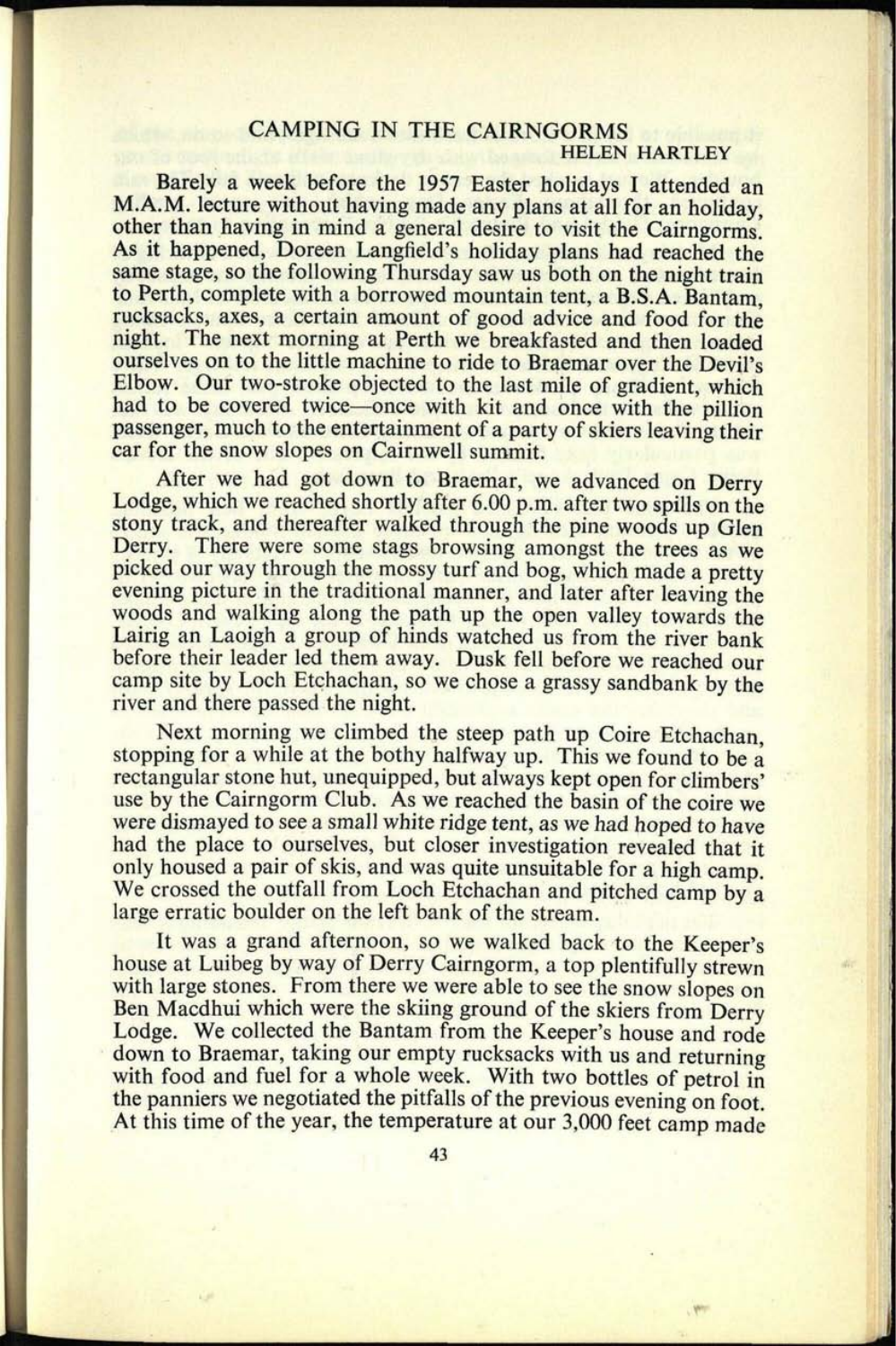## **CAMPING IN THE CAIRNGORMS HELEN HARTLEY**

Barely a week before the 1957 Easter holidays I attended an M.A.M. lecture without having made any plans at all for an holiday, other than having in mind a general desire to visit the Cairngorms. As it happened, Doreen Langfield's holiday plans had reached the same stage, so the following Thursday saw us both on the night train to Perth, complete with a borrowed mountain tent, a B.S.A. Bantam, rucksacks, axes, a certain amount of good advice and food for the night. The next morning at Perth we breakfasted and then loaded ourselves on to the little machine to ride to Braemar over the Devil's Elbow. Our two-stroke objected to the last mile of gradient, which had to be covered twice—once with kit and once with the pillion passenger, much to the entertainment of a party of skiers leaving their car for the snow slopes on Cairnwell summit.

After we had got down to Braemar, we advanced on Derry Lodge, which we reached shortly after 6.00 p.m. after two spills on the stony track, and thereafter walked through the pine woods up Glen Derry. There were some stags browsing amongst the trees as we <sup>p</sup>icked our way through the mossy turf and bog, which made a pretty evening picture in the traditional manner, and later after leaving the woods and walking along the path up the open valley towards the Lairig an Laoigh a group of hinds watched us from the river bank before their leader led them away. Dusk fell before we reached our camp site by Loch Etchachan, so we chose a grassy sandbank by the river and there passed the night.

Next morning we climbed the steep path up Coire Etchachan. stopping for a while at the bothy halfway up. This we found to be a rectangular stone hut, unequipped, but always kept open for climbers' use by the Cairngorm Club. As we reached the basin of the coire we were dismayed to see a small white ridge tent, as we had hoped to have had the place to ourselves, but closer investigation revealed that it only housed a pair of skis, and was quite unsuitable for a high camp. We crossed the outfall from Loch Etchachan and pitched camp by a large erratic boulder on the left bank of the stream.

It was a grand afternoon, so we walked back to the Keeper's house at Luibeg by way of Derry Cairngorm, a top plentifully strewn with large stones. From there we were able to see the snow slopes on Ben Macdhui which were the skiing ground of the skiers from Derry Lodge. We collected the Bantam from the Keeper's house and rode down to Braemar, taking our empty rucksacks with us and returning with food and fuel for a whole week. With two bottles of petrol in the panniers we negotiated the pitfalls of the previous evening on foot. At this time of the year, the temperature at our 3,000 feet camp made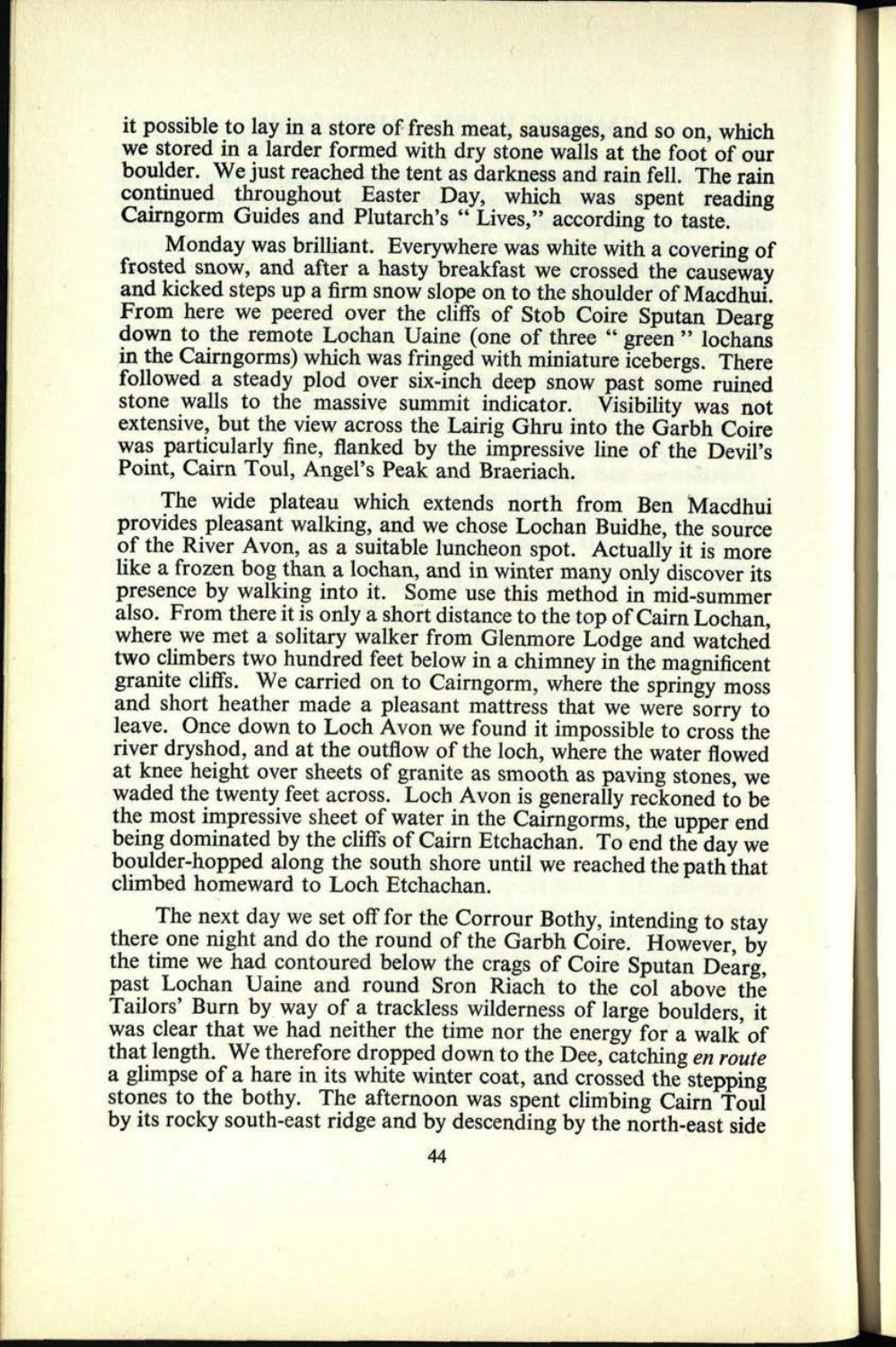it possible to lay in a store of fresh meat, sausages, and so on, which<br>we stored in a larder formed with dry stone walls at the foot of our boulder. We just reached the tent as darkness and rain fell. The rain<br>continued throughout Easter Day, which was spent reading<br>Cairngorm Guides and Plutarch's "Lives," according to taste.<br>Monday was brilliant. Everywhere w

frosted snow, and after a hasty breakfast we crossed the causeway and kicked steps up a firm snow slope on to the shoulder of Macdhui.<br>From here we peered over the cliffs of Stob Coire Sputan Dearg down to the remote Lochan Uaine (one of three "green" lochans<br>in the Cairngorms) which was fringed with miniature icebergs. There<br>followed a steady plod over six-inch deep snow past some ruined<br>stone walls to the massive s extensive, but the view across the Lairig Ghru into the Garbh Coire was particularly fine, flanked by the impressive line of the Devil's Point, Cairn Toul, Angel's Peak and Braeriach.

The wide plateau which extends north from Ben Macdhui<br>provides pleasant walking, and we chose Lochan Buidhe, the source<br>of the River Avon, as a suitable luncheon spot. Actually it is more<br>like a frozen bog than a lochan, a presence by walking into it. Some use this method in mid-summer also. From there it is only a short distance to the top of Cairn Lochan, where we met a solitary walker from Glenmore Lodge and watched two climbers two hundred feet below in a chimney in the magnificent granite cliffs. We carried on to Cairngorm, where the springy moss and short heather made a pleasant mattress that we were sorry to leave. Once down to Loch Avon we found it impossible to cross the river dryshod, and at the outflow of the loch, where the water flowed at knee height over s waded the twenty feet across. Loch Avon is generally reckoned to be<br>the most impressive sheet of water in the Cairngorms, the upper end<br>being dominated by the cliffs of Cairn Etchachan. To end the day we<br>boulder-hopped alo

The next day we set off for the Corrour Bothy, intending to stay there one night and do the round of the Garbh Coire. However, by the time we had contoured below the crags of Coire Sputan Dearg, past Lochan Uaine and round Tailors' Burn by way of a trackless wilderness of large boulders, it was clear that we had neither the time nor the energy for a walk of that length. We therefore dropped down to the Dee, catching *en route* a glimpse of a hare in its white winter coat, and crossed the stepping stones to the bothy. The afternoon was spent climbing Cairn Toul by its rocky south-east ridge and by descending by the north-east side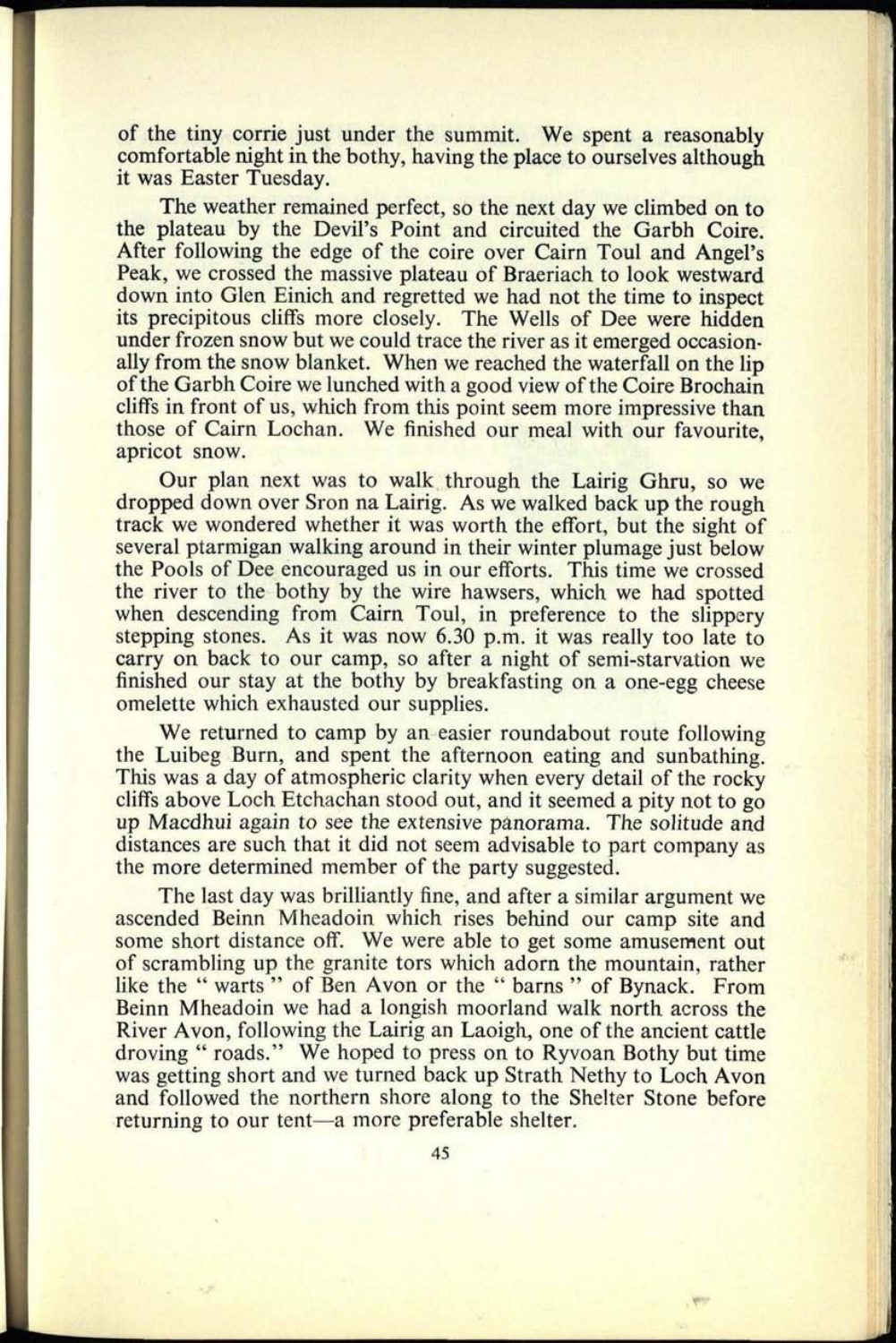of the tiny corrie just under the summit. We spent a reasonably comfortable night in the bothy, having the place to ourselves although it was Easter Tuesday.

The weather remained perfect, so the next day we climbed on to the plateau by the Devil's Point and circuited the Garbh Coire. After following the edge of the coire over Cairn Toul and Angel's Peak, we crossed the massive plateau of Braeriach to look westward down into Glen Einich and regretted we had not the time to inspect its precipitous cliffs more closely. The Wells of Dee were hidden under frozen snow but we could trace the river as it emerged occasionally from the snow blanket. When we reached the waterfall on the lip of the Garbh Coire we lunched with a good view of the Coire Brochain cliffs in front of us, which from this point seem more impressive than those of Cairn Lochan. We finished our meal with our favourite, apricot snow.

Our plan next was to walk through the Lairig Ghru, so we dropped down over Sron na Lairig. As we walked back up the rough track we wondered whether it was worth the effort, but the sight of several ptarmigan walking around in their winter plumage just below the Pools of Dee encouraged us in our efforts. This time we crossed the river to the bothy by the wire hawsers, which we had spotted when descending from Cairn Toul, in preference to the slippery stepping stones. As it was now 6.30 p.m. it was really too late to carry on back to our camp, so after a night of semi-starvation we finished our stay at the bothy by breakfasting on a one-egg cheese omelette which exhausted our supplies.

We returned to camp by an easier roundabout route following the Luibeg Burn, and spent the afternoon eating and sunbathing. This was a day of atmospheric clarity when every detail of the rocky cliffs above Loch Etchachan stood out, and it seemed a pity not to go up Macdhui again to see the extensive panorama. The solitude and distances are such that it did not seem advisable to part company as the more determined member of the party suggested.

The last day was brilliantly fine, and after a similar argument we ascended Beinn Mheadoin which rises behind our camp site and some short distance off. We were able to get some amusement out of scrambling up the granite tors which adorn the mountain, rather like the " warts" of Ben Avon or the " barns" of Bynack. From Beinn Mheadoin we had a longish moorland walk north across the River Avon, following the Lairig an Laoigh, one of the ancient cattle droving " roads." We hoped to press on to Ryvoan Bothy but time was getting short and we turned back up Strath Nethy to Loch Avon and followed the northern shore along to the Shelter Stone before returning to our tent—a more preferable shelter.